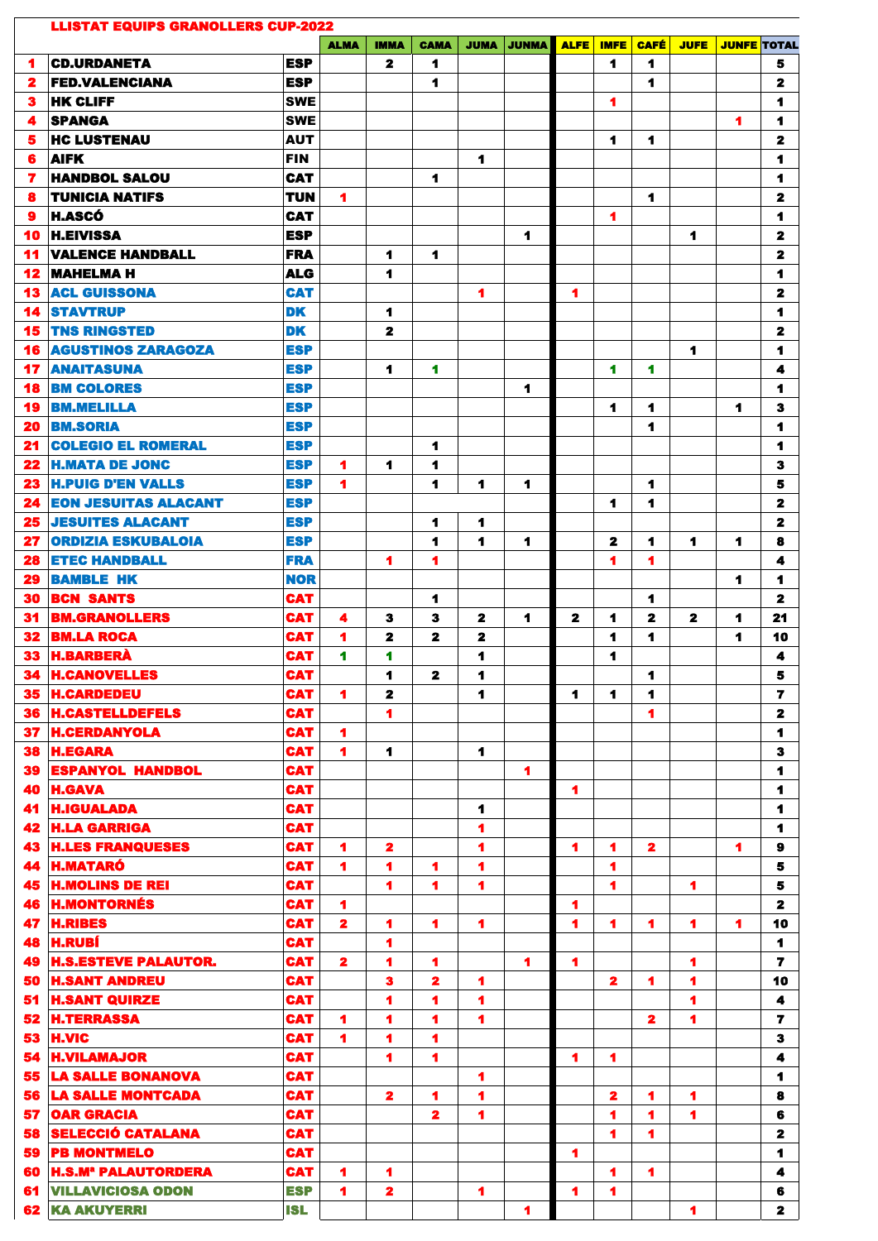|          | <b>LLISTAT EQUIPS GRANOLLERS CUP-2022</b>            |                          |              |                         |                         |             |                |              |                  |                               |                      | <b>JUNFE TOTAL</b> |              |
|----------|------------------------------------------------------|--------------------------|--------------|-------------------------|-------------------------|-------------|----------------|--------------|------------------|-------------------------------|----------------------|--------------------|--------------|
| 1        | <b>CD.URDANETA</b>                                   | ESP                      | <b>ALMA</b>  | <b>IMMA</b><br>2        | <b>CAMA</b><br>1        | <b>JUMA</b> | <b>JUNMA</b>   | <b>ALFE</b>  | <b>IMFE</b><br>1 | <b>CAFÉ</b><br>$\blacksquare$ | <b>JUFE</b>          |                    | 5            |
| 2        | <b>FED.VALENCIANA</b>                                | <b>ESP</b>               |              |                         | 1                       |             |                |              |                  | 1                             |                      |                    | $\mathbf{z}$ |
| з        | <b>HK CLIFF</b>                                      | <b>SWE</b>               |              |                         |                         |             |                |              | 1                |                               |                      |                    | 1            |
| 4        | <b>ISPANGA</b>                                       | <b>SWE</b>               |              |                         |                         |             |                |              |                  |                               |                      | 1                  | 1            |
| 5.       | <b>HC LUSTENAU</b>                                   | <b>AUT</b>               |              |                         |                         |             |                |              | 1                | 1                             |                      |                    | $\mathbf{2}$ |
| 6        | <b>AIFK</b>                                          | <b>FIN</b>               |              |                         |                         | 1           |                |              |                  |                               |                      |                    | 1            |
| 7        | <b>HANDBOL SALOU</b>                                 | <b>CAT</b>               |              |                         | 1                       |             |                |              |                  |                               |                      |                    | 1            |
| 8        | <b>TUNICIA NATIFS</b>                                | <b>TUN</b>               | 1            |                         |                         |             |                |              |                  | 1                             |                      |                    | 2            |
| 9        | <b>H.ASCÓ</b>                                        | CAT                      |              |                         |                         |             |                |              | 1                |                               |                      |                    | 1            |
| 10       | <b>H.EIVISSA</b>                                     | <b>ESP</b>               |              |                         |                         |             | 1              |              |                  |                               | 1                    |                    | $\mathbf{2}$ |
| 11       | <b>VALENCE HANDBALL</b>                              | <b>FRA</b>               |              | 1                       | 1                       |             |                |              |                  |                               |                      |                    | $\mathbf{z}$ |
| 12       | <b>MAHELMA H</b>                                     | ALG                      |              | 1                       |                         |             |                |              |                  |                               |                      |                    | 1            |
| 13       | <b>ACL GUISSONA</b>                                  | <b>CAT</b>               |              |                         |                         | 1           |                | 1            |                  |                               |                      |                    | 2            |
| 14       | <b>STAVTRUP</b>                                      | <b>DK</b>                |              | 1                       |                         |             |                |              |                  |                               |                      |                    | 1            |
| 15       | <b>TNS RINGSTED</b>                                  | <b>DK</b>                |              | 2                       |                         |             |                |              |                  |                               |                      |                    | 2            |
| 16       | <b>AGUSTINOS ZARAGOZA</b>                            | <b>ESP</b>               |              |                         |                         |             |                |              |                  |                               | 1                    |                    | 1            |
| 17       | <b>ANAITASUNA</b>                                    | <b>ESP</b>               |              | 1                       | 1                       |             |                |              | 1                | 1                             |                      |                    | 4            |
| 18       | <b>BM COLORES</b>                                    | <b>ESP</b>               |              |                         |                         |             | 1              |              |                  |                               |                      |                    | 1            |
| 19       | <b>BM.MELILLA</b>                                    | <b>ESP</b>               |              |                         |                         |             |                |              | 1                | 1                             |                      | 1                  | 3            |
| 20       | <b>BM.SORIA</b>                                      | <b>ESP</b>               |              |                         |                         |             |                |              |                  | 1                             |                      |                    | 1            |
| 21       | <b>COLEGIO EL ROMERAL</b><br><b>H.MATA DE JONC</b>   | <b>ESP</b>               |              |                         | 1                       |             |                |              |                  |                               |                      |                    | 1            |
| 22<br>23 | <b>H.PUIG D'EN VALLS</b>                             | <b>ESP</b><br><b>ESP</b> | 1<br>1       | 1                       | 1<br>1                  | 1           | 1              |              |                  | 1                             |                      |                    | 3<br>5       |
| 24       | <b>EON JESUITAS ALACANT</b>                          | <b>ESP</b>               |              |                         |                         |             |                |              | 1                | 1                             |                      |                    | $\mathbf{2}$ |
| 25       | <b>JESUITES ALACANT</b>                              | <b>ESP</b>               |              |                         | 1                       | 1           |                |              |                  |                               |                      |                    | $\mathbf{z}$ |
|          | <b>27 ORDIZIA ESKUBALOIA</b>                         | <b>ESP</b>               |              |                         | 1                       | 1           | 1              |              | 2                | 1                             | 1                    | 1                  | 8            |
| 28       | <b>ETEC HANDBALL</b>                                 | <b>FRA</b>               |              | 1                       | 1                       |             |                |              | 1                | 1                             |                      |                    | 4            |
| 29       | <b>BAMBLE HK</b>                                     | <b>NOR</b>               |              |                         |                         |             |                |              |                  |                               |                      | 1                  | 1            |
| 30       | <b>BCN SANTS</b>                                     | <b>CAT</b>               |              |                         | 1                       |             |                |              |                  | 1                             |                      |                    | 2            |
| 31       | <b>BM.GRANOLLERS</b>                                 | <b>CAT</b>               | 4            | 3                       | 3                       | 2           | 1              | $\mathbf{z}$ | 1                | 2                             | $\mathbf{2}$         | 1                  | 21           |
| 32       | <b>BM.LA ROCA</b>                                    | <b>CAT</b>               | 1            | 2                       | 2                       | 2           |                |              | 1                | 1                             |                      | 1                  | 10           |
| 33       | <b>H.BARBERÀ</b>                                     | <b>CAT</b>               | 1            | 1                       |                         | 1           |                |              | 1                |                               |                      |                    | 4            |
| 34       | <b>H.CANOVELLES</b>                                  | <b>CAT</b>               |              | 4                       | 2                       | 1           |                |              |                  | 1                             |                      |                    | 5            |
| 35       | <b>H.CARDEDEU</b>                                    | <b>CAT</b>               | 1            | 2                       |                         | 1           |                | 1            | 1                | 1                             |                      |                    | 7            |
| 36       | <b>H.CASTELLDEFELS</b>                               | <b>CAT</b>               |              | 1                       |                         |             |                |              |                  | 1                             |                      |                    | $\mathbf{z}$ |
| 37       | <b>H.CERDANYOLA</b>                                  | <b>CAT</b>               | 1            |                         |                         |             |                |              |                  |                               |                      |                    | 1            |
| 38       | <b>H.EGARA</b>                                       | <b>CAT</b>               | 1            | 1                       |                         | 1           |                |              |                  |                               |                      |                    | 3            |
| 39<br>40 | <b>ESPANYOL HANDBOL</b><br><b>H.GAVA</b>             | <b>CAT</b><br><b>CAT</b> |              |                         |                         |             | 1              | 1            |                  |                               |                      |                    | 1<br>1       |
| 41       | <b>H.IGUALADA</b>                                    | <b>CAT</b>               |              |                         |                         | 1           |                |              |                  |                               |                      |                    | 1            |
| 42       | <b>H.LA GARRIGA</b>                                  | <b>CAT</b>               |              |                         |                         | 1           |                |              |                  |                               |                      |                    | 1            |
| 43       | <b>H.LES FRANQUESES</b>                              | <b>CAT</b>               | 1            | $\mathbf{z}$            |                         | 1           |                | 1            | 1                | $\overline{\mathbf{z}}$       |                      | 1                  | $\bf{9}$     |
| 44       | <b>H.MATARÓ</b>                                      | <b>CAT</b>               | 1            | 1                       | 1                       | 1           |                |              | 1                |                               |                      |                    | 5            |
| 45       | <b>H.MOLINS DE REI</b>                               | <b>CAT</b>               |              | 1                       | 1                       | 1           |                |              | 1                |                               | 1                    |                    | 5            |
| 46       | <b>H.MONTORNÉS</b>                                   | <b>CAT</b>               | 1            |                         |                         |             |                | 1            |                  |                               |                      |                    | $\mathbf{z}$ |
| 47       | <b>H.RIBES</b>                                       | <b>CAT</b>               | $\mathbf{z}$ | 1                       | 1                       | 1           |                | 1            | 1                | 1                             | 1                    | 1                  | 10           |
| 48       | <b>H.RUBÍ</b>                                        | <b>CAT</b>               |              | 1                       |                         |             |                |              |                  |                               |                      |                    | 1            |
| 49       | <b>H.S.ESTEVE PALAUTOR.</b>                          | <b>CAT</b>               | 2            | 1                       | 1                       |             | 1              | 1            |                  |                               | 1                    |                    | 7            |
| 50       | <b>H.SANT ANDREU</b>                                 | <b>CAT</b>               |              | 3                       | 2                       | 1           |                |              | $\mathbf{z}$     | 1                             | 1                    |                    | 10           |
| 51       | <b>H.SANT QUIRZE</b>                                 | <b>CAT</b>               |              | 4                       | 1                       | 4           |                |              |                  |                               | $\blacktriangleleft$ |                    | 4            |
| 52       | <b>H.TERRASSA</b>                                    | <b>CAT</b>               | 1            | 1                       | 1                       | 1           |                |              |                  | 2                             | 1                    |                    | 7            |
| 53       | <b>H.VIC</b>                                         | <b>CAT</b>               | 1            | 1                       | 1                       |             |                |              |                  |                               |                      |                    | $\bf{3}$     |
| 54       | <b>H.VILAMAJOR</b>                                   | <b>CAT</b><br><b>CAT</b> |              | 4                       | 1                       |             |                | 1            | 1                |                               |                      |                    | 4            |
| 55<br>56 | <b>LA SALLE BONANOVA</b><br><b>LA SALLE MONTCADA</b> | <b>CAT</b>               |              | $\overline{\mathbf{2}}$ | 1                       | 1<br>1      |                |              | $\mathbf{2}$     | 1                             | 1                    |                    | 1<br>8       |
| 57       | <b>OAR GRACIA</b>                                    | <b>CAT</b>               |              |                         | $\overline{\mathbf{z}}$ | 1           |                |              | 1                | 1                             | 1                    |                    | 6            |
| 58       | <b>SELECCIÓ CATALANA</b>                             | <b>CAT</b>               |              |                         |                         |             |                |              | 1                | 1                             |                      |                    | 2            |
| 59       | <b>PB MONTMELO</b>                                   | <b>CAT</b>               |              |                         |                         |             |                | 1            |                  |                               |                      |                    | 1            |
| 60       | <b>H.S.M<sup>a</sup> PALAUTORDERA</b>                | <b>CAT</b>               | 1            | 1                       |                         |             |                |              | 1                | 1                             |                      |                    | 4            |
| 61       | <b>VILLAVICIOSA ODON</b>                             | <b>ESP</b>               | 1            | $\mathbf{z}$            |                         | 1           |                | 1            | 1                |                               |                      |                    | 6            |
|          | <b>62 KA AKUYERRI</b>                                | <b>ISL</b>               |              |                         |                         |             | $\blacksquare$ |              |                  |                               | 1                    |                    | $\mathbf{2}$ |